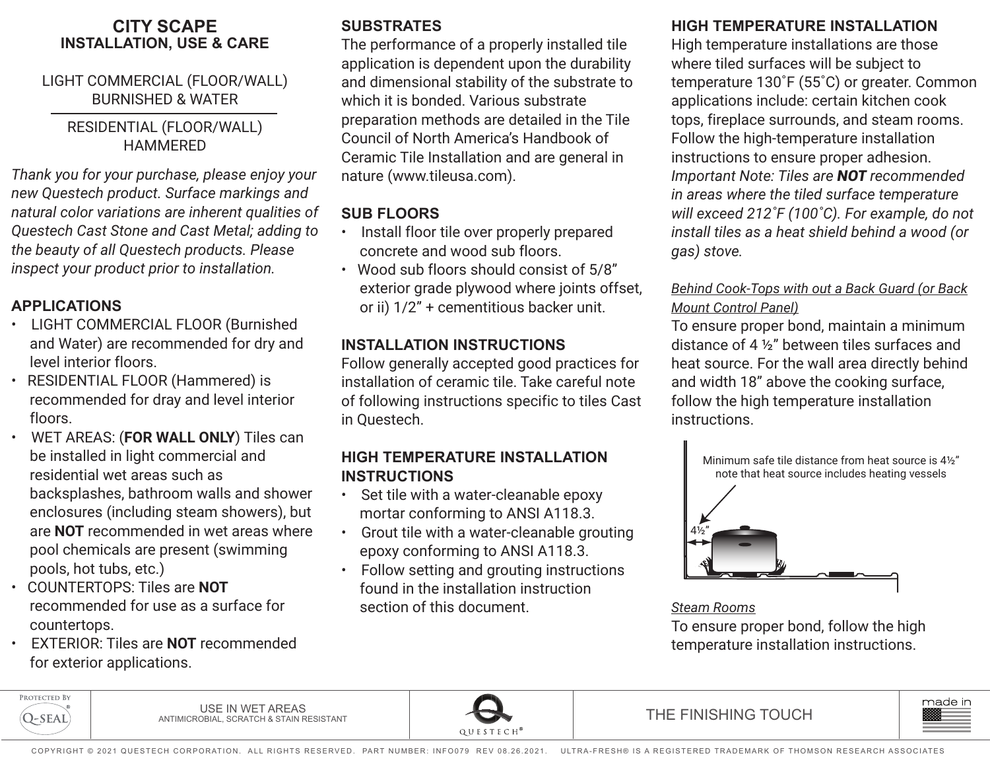#### **CITY SCAPE INSTALLATION, USE & CARE**

#### LIGHT COMMERCIAL (FLOOR/WALL) BURNISHED & WATER

#### RESIDENTIAL (FLOOR/WALL) HAMMERED

*Thank you for your purchase, please enjoy your new Questech product. Surface markings and natural color variations are inherent qualities of Questech Cast Stone and Cast Metal; adding to the beauty of all Questech products. Please inspect your product prior to installation.*

### **APPLICATIONS**

- LIGHT COMMERCIAL FLOOR (Burnished and Water) are recommended for dry and level interior floors.
- RESIDENTIAL FLOOR (Hammered) is recommended for dray and level interior floors.
- WET AREAS: (**FOR WALL ONLY**) Tiles can be installed in light commercial and residential wet areas such as backsplashes, bathroom walls and shower enclosures (including steam showers), but are **NOT** recommended in wet areas where pool chemicals are present (swimming pools, hot tubs, etc.)
- COUNTERTOPS: Tiles are **NOT** recommended for use as a surface for countertops.
- EXTERIOR: Tiles are **NOT** recommended for exterior applications.

# **SUBSTRATES**

The performance of a properly installed tile application is dependent upon the durability and dimensional stability of the substrate to which it is bonded. Various substrate preparation methods are detailed in the Tile Council of North America's Handbook of Ceramic Tile Installation and are general in nature (www.tileusa.com).

## **SUB FLOORS**

- Install floor tile over properly prepared concrete and wood sub floors.
- Wood sub floors should consist of 5/8" exterior grade plywood where joints offset, or ii) 1/2" + cementitious backer unit.

#### **INSTALLATION INSTRUCTIONS**

Follow generally accepted good practices for installation of ceramic tile. Take careful note of following instructions specific to tiles Cast in Questech.

#### **HIGH TEMPERATURE INSTALLATION INSTRUCTIONS**

- Set tile with a water-cleanable epoxy mortar conforming to ANSI A118.3.
- Grout tile with a water-cleanable grouting epoxy conforming to ANSI A118.3.
- Follow setting and grouting instructions found in the installation instruction section of this document.

# **HIGH TEMPERATURE INSTALLATION**

High temperature installations are those where tiled surfaces will be subject to temperature 130˚F (55˚C) or greater. Common applications include: certain kitchen cook tops, fireplace surrounds, and steam rooms. Follow the high-temperature installation instructions to ensure proper adhesion. *Important Note: Tiles are NOT recommended in areas where the tiled surface temperature will exceed 212˚F (100˚C). For example, do not install tiles as a heat shield behind a wood (or gas) stove.* 

#### *Behind Cook-Tops with out a Back Guard (or Back Mount Control Panel)*

To ensure proper bond, maintain a minimum distance of 4 ½" between tiles surfaces and heat source. For the wall area directly behind and width 18" above the cooking surface, follow the high temperature installation instructions.



*Steam Rooms* To ensure proper bond, follow the high temperature installation instructions.



USE IN WET AREAS<br>ANTIMICROBIAL, SCRATCH & STAIN RESISTANT



THE FINISHING TOUCH